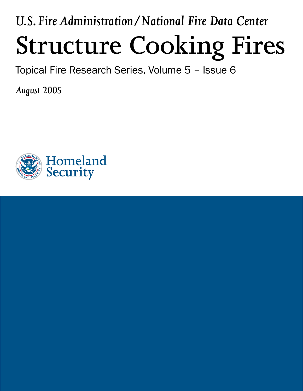*U.S. Fire Administration/National Fire Data Center*

# **Structure Cooking Fires**

Topical Fire Research Series, Volume 5 – Issue 6

*August 2005*

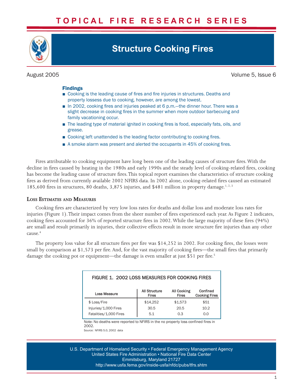# **T O P I C A L F I R E R E S E A R C H S E R I E S**



## **Structure Cooking Fires**

August 2005 Volume 5, Issue 6

#### Findings

- Cooking is the leading cause of fires and fire injuries in structures. Deaths and property lossess due to cooking, however, are among the lowest.
- In 2002, cooking fires and injuries peaked at 6 p.m.—the dinner hour. There was a slight decrease in cooking fires in the summer when more outdoor barbecuing and family vacationing occur.
- The leading type of material ignited in cooking fires is food, especially fats, oils, and grease.
- Cooking left unattended is the leading factor contributing to cooking fires.
- A smoke alarm was present and alerted the occupants in 45% of cooking fires.

Fires attributable to cooking equipment have long been one of the leading causes of structure fires. With the decline in fires caused by heating in the 1980s and early 1990s and the steady level of cooking-related fires, cooking has become the leading cause of structure fires.This topical report examines the characteristics of structure cooking fires as derived from currently available 2002 NFIRS data. In 2002 alone, cooking-related fires caused an estimated 185,600 fires in structures, 80 deaths, 3,875 injuries, and \$481 million in property damage.<sup>1, 2, 3</sup>

#### **LOSS ESTIMATES AND MEASURES**

Cooking fires are characterized by very low loss rates for deaths and dollar loss and moderate loss rates for injuries (Figure 1). Their impact comes from the sheer number of fires experienced each year. As Figure 2 indicates, cooking fires accounted for 36% of reported structure fires in 2002. While the large majority of these fires (94%) are small and result primarily in injuries, their collective effects result in more structure fire injuries than any other cause. 4

The property loss value for all structure fires per fire was  $$14,252$  in 2002. For cooking fires, the losses were small by comparison at \$1,573 per fire. And, for the vast majority of cooking fires—the small fires that primarily damage the cooking pot or equipment—the damage is even smaller at just \$51 per fire.<sup>5</sup>

| FIGURE 1. 2002 LOSS MEASURES FOR COOKING FIRES |                                      |                                    |                                  |  |  |  |
|------------------------------------------------|--------------------------------------|------------------------------------|----------------------------------|--|--|--|
| <b>Loss Measure</b>                            | <b>All Structure</b><br><b>Fires</b> | <b>All Cooking</b><br><b>Fires</b> | Confined<br><b>Cooking Fires</b> |  |  |  |
| \$ Loss/Fire                                   | \$14,252                             | \$1.573                            | \$51                             |  |  |  |
| Injuries/1,000 Fires                           | 30.5                                 | 20.5                               | 10.2                             |  |  |  |
| Fatalities/1,000 Fires                         | 5.1                                  | 0.3                                | 0.0                              |  |  |  |

Note: No deaths were reported to NFIRS in the no property loss confined fires in 2002. Source: NEIRS 5.0, 2002, data

U.S. Department of Homeland Security • Federal Emergency Management Agency United States Fire Administration • National Fire Data Center Emmitsburg, Maryland 21727 <http://www.usfa.fema.gov/inside-usfa/nfdc/pubs/tfrs.shtm>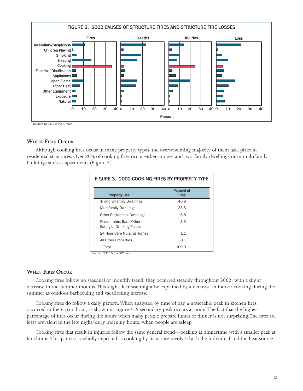

Source: NFIRS 5.0, 2002 data

#### **WHERE FIRES OCCUR**

Although cooking fires occur in many property types, the overwhelming majority of them take place in residential structures. Over 80% of cooking fires occur either in one- and two-family dwellings or in multifamily buildings such as apartments (Figure 3).

| FIGURE 3. 2002 COOKING FIRES BY PROPERTY TYPE         |                            |  |  |  |  |
|-------------------------------------------------------|----------------------------|--|--|--|--|
| <b>Property Use</b>                                   | Percent of<br><b>Fires</b> |  |  |  |  |
| 1- and 2-Family Dwellings                             | 46.9                       |  |  |  |  |
| <b>Multifamily Dwellings</b>                          | 33.6                       |  |  |  |  |
| <b>Other Residential Dwellings</b>                    | 6.8                        |  |  |  |  |
| Restaurants, Bars, Other<br>Eating or Drinking Places | 3.5                        |  |  |  |  |
| 24-Hour Care Nursing Homes                            | 1.1                        |  |  |  |  |
| All Other Properties                                  | 8.1                        |  |  |  |  |
| Total                                                 | 100.0                      |  |  |  |  |

Source: NFIRS 5.0, 2002 data

#### **WHEN FIRES OCCUR**

Cooking fires follow no seasonal or monthly trend; they occurred steadily throughout 2002, with a slight decrease in the summer months.This slight decrease might be explained by a decrease in indoor cooking during the summer as outdoor barbecuing and vacationing increase.

Cooking fires do follow a daily pattern. When analyzed by time of day, a noticeable peak in kitchen fires occurred in the 6 p.m. hour, as shown in Figure 4.A secondary peak occurs at noon.The fact that the highest percentage of fires occur during the hours when many people prepare lunch or dinner is not surprising. The fires are least prevalent in the late night/early morning hours, when people are asleep.

Cooking fires that result in injuries follow the same general trend—peaking at dinnertime with a smaller peak at lunchtime.This pattern is wholly expected as cooking by its nature involves both the individual and the heat source.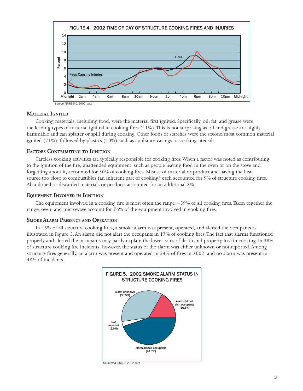

#### **MATERIAL IGNITED**

Cooking materials, including food, were the material first ignited. Specifically, oil, fat, and grease were the leading types of material ignited in cooking fires (41%).This is not surprising as oil and grease are highly flammable and can splatter or spill during cooking. Other foods or starches were the second most common material ignited (21%), followed by plastics (10%) such as appliance casings or cooking utensils.

#### **FACTORS CONTRIBUTING TO IGNITION**

Careless cooking activities are typically responsible for cooking fires.When a factor was noted as contributing to the ignition of the fire, unattended equipment, such as people leaving food in the oven or on the stove and forgetting about it, accounted for 30% of cooking fires. Misuse of material or product and having the heat source too close to combustibles (an inherent part of cooking) each accounted for 9% of structure cooking fires. Abandoned or discarded materials or products accounted for an additional 8%.

#### **EQUIPMENT INVOLVED IN IGNITION**

The equipment involved in a cooking fire is most often the range—59% of all cooking fires.Taken together the range, oven, and microwave account for 76% of the equipment involved in cooking fires.

#### **SMOKE ALARM PRESENCE AND OPERATION**

In 45% of all structure cooking fires, a smoke alarm was present, operated, and alerted the occupants as illustrated in Figure 5.An alarm did not alert the occupants in 17% of cooking fires.The fact that alarms functioned properly and alerted the occupants may partly explain the lower rates of death and property loss in cooking. In 38% of structure cooking fire incidents, however, the status of the alarm was either unknown or not reported. Among structure fires generally, an alarm was present and operated in 34% of fires in 2002, and no alarm was present in 48% of incidents.



Source: NEIRS 5.0, 2002 data